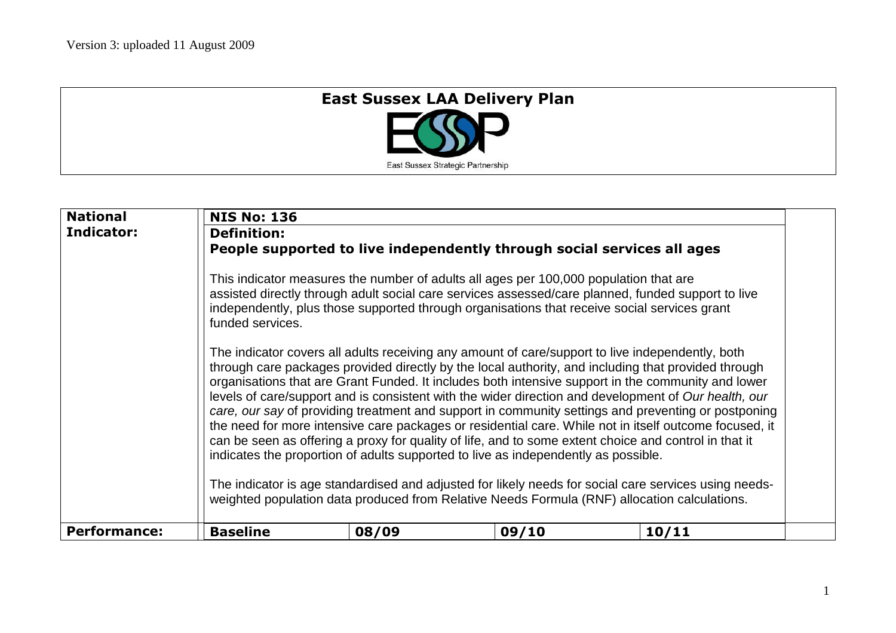## **East Sussex LAA Delivery Plan**

East Sussex Strategic Partnership

| <b>National</b><br>Indicator: | <b>NIS No: 136</b><br><b>Definition:</b><br>funded services.                                                                                                                                          | People supported to live independently through social services all ages<br>This indicator measures the number of adults all ages per 100,000 population that are<br>assisted directly through adult social care services assessed/care planned, funded support to live<br>independently, plus those supported through organisations that receive social services grant<br>The indicator covers all adults receiving any amount of care/support to live independently, both<br>through care packages provided directly by the local authority, and including that provided through<br>organisations that are Grant Funded. It includes both intensive support in the community and lower<br>levels of care/support and is consistent with the wider direction and development of Our health, our<br>care, our say of providing treatment and support in community settings and preventing or postponing<br>the need for more intensive care packages or residential care. While not in itself outcome focused, it<br>can be seen as offering a proxy for quality of life, and to some extent choice and control in that it<br>indicates the proportion of adults supported to live as independently as possible. |       |       |  |
|-------------------------------|-------------------------------------------------------------------------------------------------------------------------------------------------------------------------------------------------------|-----------------------------------------------------------------------------------------------------------------------------------------------------------------------------------------------------------------------------------------------------------------------------------------------------------------------------------------------------------------------------------------------------------------------------------------------------------------------------------------------------------------------------------------------------------------------------------------------------------------------------------------------------------------------------------------------------------------------------------------------------------------------------------------------------------------------------------------------------------------------------------------------------------------------------------------------------------------------------------------------------------------------------------------------------------------------------------------------------------------------------------------------------------------------------------------------------------------|-------|-------|--|
|                               | The indicator is age standardised and adjusted for likely needs for social care services using needs-<br>weighted population data produced from Relative Needs Formula (RNF) allocation calculations. |                                                                                                                                                                                                                                                                                                                                                                                                                                                                                                                                                                                                                                                                                                                                                                                                                                                                                                                                                                                                                                                                                                                                                                                                                 |       |       |  |
| <b>Performance:</b>           | <b>Baseline</b>                                                                                                                                                                                       | 08/09                                                                                                                                                                                                                                                                                                                                                                                                                                                                                                                                                                                                                                                                                                                                                                                                                                                                                                                                                                                                                                                                                                                                                                                                           | 09/10 | 10/11 |  |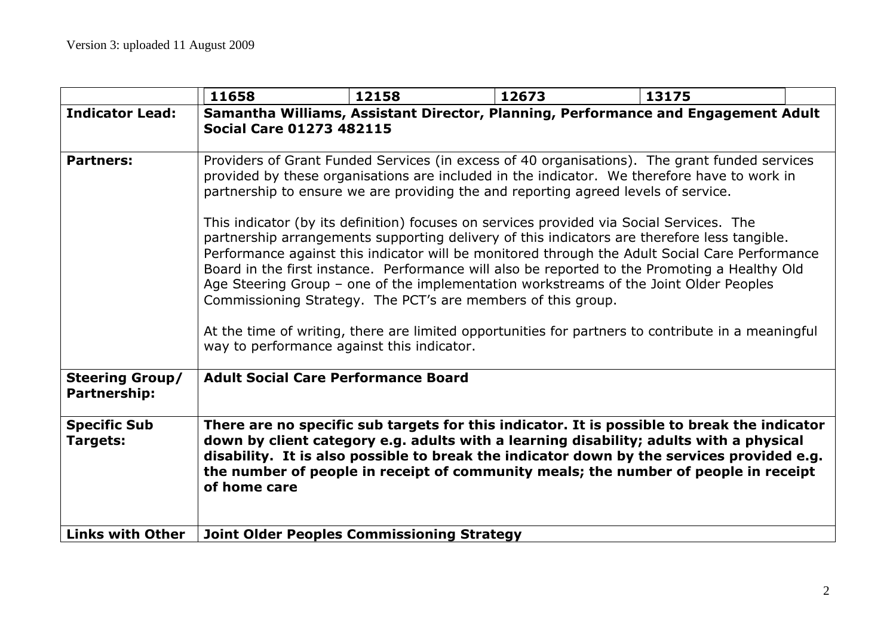|                                               | 11658                                                                                                                                                                                                                                                                                                                                                                                                                                                                                                                                                                                                                                                                                                                                                                                                                                                                                                                                                                                          | 12158 | 12673 | 13175                                                                                                                                                                                                                                                                                                                                                                     |  |
|-----------------------------------------------|------------------------------------------------------------------------------------------------------------------------------------------------------------------------------------------------------------------------------------------------------------------------------------------------------------------------------------------------------------------------------------------------------------------------------------------------------------------------------------------------------------------------------------------------------------------------------------------------------------------------------------------------------------------------------------------------------------------------------------------------------------------------------------------------------------------------------------------------------------------------------------------------------------------------------------------------------------------------------------------------|-------|-------|---------------------------------------------------------------------------------------------------------------------------------------------------------------------------------------------------------------------------------------------------------------------------------------------------------------------------------------------------------------------------|--|
| <b>Indicator Lead:</b>                        | Samantha Williams, Assistant Director, Planning, Performance and Engagement Adult<br><b>Social Care 01273 482115</b>                                                                                                                                                                                                                                                                                                                                                                                                                                                                                                                                                                                                                                                                                                                                                                                                                                                                           |       |       |                                                                                                                                                                                                                                                                                                                                                                           |  |
| <b>Partners:</b>                              | Providers of Grant Funded Services (in excess of 40 organisations). The grant funded services<br>provided by these organisations are included in the indicator. We therefore have to work in<br>partnership to ensure we are providing the and reporting agreed levels of service.<br>This indicator (by its definition) focuses on services provided via Social Services. The<br>partnership arrangements supporting delivery of this indicators are therefore less tangible.<br>Performance against this indicator will be monitored through the Adult Social Care Performance<br>Board in the first instance. Performance will also be reported to the Promoting a Healthy Old<br>Age Steering Group - one of the implementation workstreams of the Joint Older Peoples<br>Commissioning Strategy. The PCT's are members of this group.<br>At the time of writing, there are limited opportunities for partners to contribute in a meaningful<br>way to performance against this indicator. |       |       |                                                                                                                                                                                                                                                                                                                                                                           |  |
| <b>Steering Group/</b><br><b>Partnership:</b> | <b>Adult Social Care Performance Board</b>                                                                                                                                                                                                                                                                                                                                                                                                                                                                                                                                                                                                                                                                                                                                                                                                                                                                                                                                                     |       |       |                                                                                                                                                                                                                                                                                                                                                                           |  |
| <b>Specific Sub</b><br><b>Targets:</b>        | of home care                                                                                                                                                                                                                                                                                                                                                                                                                                                                                                                                                                                                                                                                                                                                                                                                                                                                                                                                                                                   |       |       | There are no specific sub targets for this indicator. It is possible to break the indicator<br>down by client category e.g. adults with a learning disability; adults with a physical<br>disability. It is also possible to break the indicator down by the services provided e.g.<br>the number of people in receipt of community meals; the number of people in receipt |  |
| <b>Links with Other</b>                       | <b>Joint Older Peoples Commissioning Strategy</b>                                                                                                                                                                                                                                                                                                                                                                                                                                                                                                                                                                                                                                                                                                                                                                                                                                                                                                                                              |       |       |                                                                                                                                                                                                                                                                                                                                                                           |  |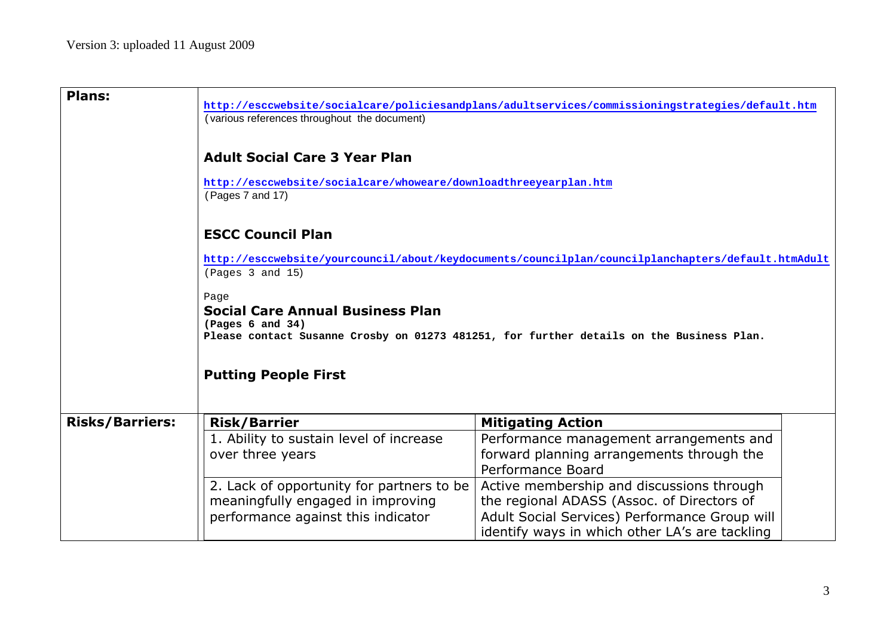| <b>Plans:</b>          | http://esccwebsite/socialcare/policiesandplans/adultservices/commissioningstrategies/default.htm<br>(various references throughout the document)<br><b>Adult Social Care 3 Year Plan</b><br>http://esccwebsite/socialcare/whoweare/downloadthreeyearplan.htm<br>(Pages 7 and 17)<br><b>ESCC Council Plan</b><br>http://esccwebsite/yourcouncil/about/keydocuments/councilplan/councilplanchapters/default.htmAdult<br>(Pages 3 and 15)<br>Page<br><b>Social Care Annual Business Plan</b><br>(Paqes 6 and 34)<br>Please contact Susanne Crosby on 01273 481251, for further details on the Business Plan.<br><b>Putting People First</b> |                                                                                                                                                                                                                                                                                                                                     |  |  |  |
|------------------------|------------------------------------------------------------------------------------------------------------------------------------------------------------------------------------------------------------------------------------------------------------------------------------------------------------------------------------------------------------------------------------------------------------------------------------------------------------------------------------------------------------------------------------------------------------------------------------------------------------------------------------------|-------------------------------------------------------------------------------------------------------------------------------------------------------------------------------------------------------------------------------------------------------------------------------------------------------------------------------------|--|--|--|
|                        |                                                                                                                                                                                                                                                                                                                                                                                                                                                                                                                                                                                                                                          |                                                                                                                                                                                                                                                                                                                                     |  |  |  |
| <b>Risks/Barriers:</b> | <b>Risk/Barrier</b><br>1. Ability to sustain level of increase<br>over three years<br>2. Lack of opportunity for partners to be<br>meaningfully engaged in improving<br>performance against this indicator                                                                                                                                                                                                                                                                                                                                                                                                                               | <b>Mitigating Action</b><br>Performance management arrangements and<br>forward planning arrangements through the<br>Performance Board<br>Active membership and discussions through<br>the regional ADASS (Assoc. of Directors of<br>Adult Social Services) Performance Group will<br>identify ways in which other LA's are tackling |  |  |  |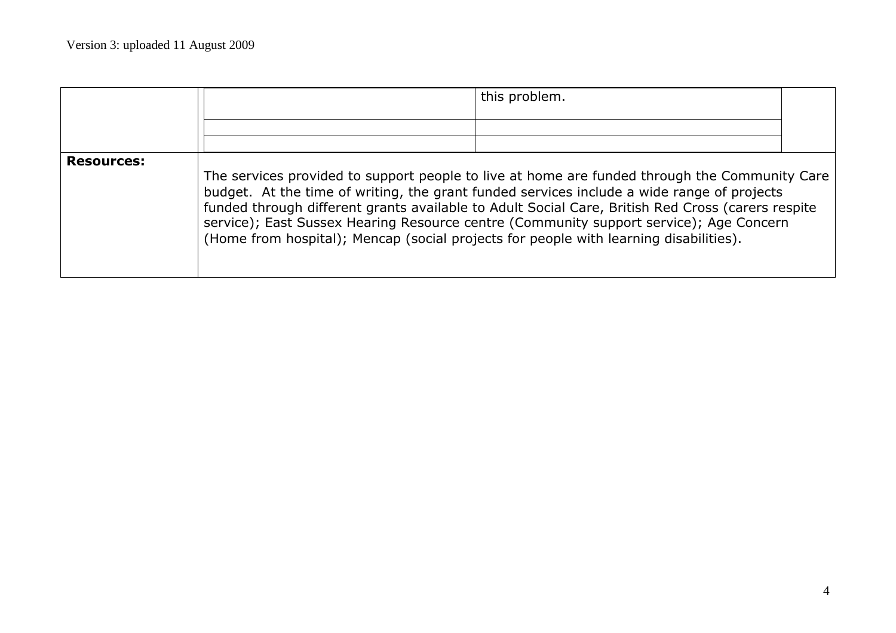|                   |                                                                                                                                                                                                                                                                                                                                                                                                                                                                                     | this problem. |  |  |  |
|-------------------|-------------------------------------------------------------------------------------------------------------------------------------------------------------------------------------------------------------------------------------------------------------------------------------------------------------------------------------------------------------------------------------------------------------------------------------------------------------------------------------|---------------|--|--|--|
| <b>Resources:</b> | The services provided to support people to live at home are funded through the Community Care<br>budget. At the time of writing, the grant funded services include a wide range of projects<br>funded through different grants available to Adult Social Care, British Red Cross (carers respite<br>service); East Sussex Hearing Resource centre (Community support service); Age Concern<br>(Home from hospital); Mencap (social projects for people with learning disabilities). |               |  |  |  |